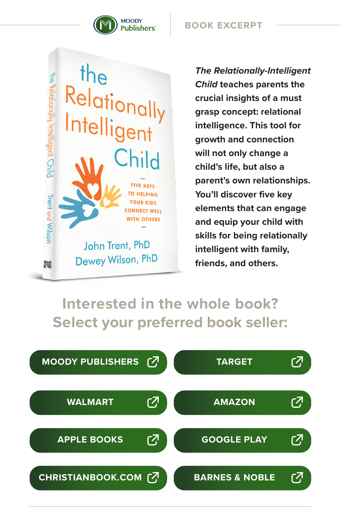

### **BOOK EXCERPT**



*The Relationally-Intelligent Child* **teaches parents the crucial insights of a must grasp concept: relational intelligence. This tool for growth and connection will not only change a child's life, but also a parent's own relationships. You'll discover five key elements that can engage and equip your child with skills for being relationally intelligent with family, friends, and others.**

# **Interested in the whole book? Select your preferred book seller:**

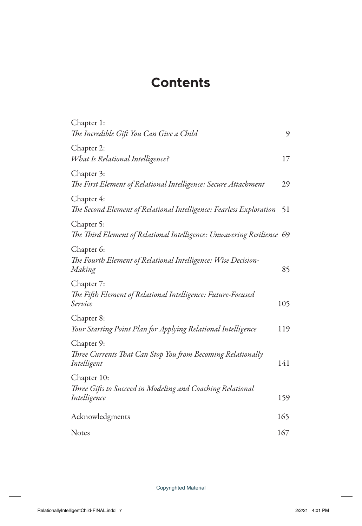# **Contents**

| Chapter 1:<br>The Incredible Gift You Can Give a Child                                    | 9   |
|-------------------------------------------------------------------------------------------|-----|
| Chapter 2:<br><b>What Is Relational Intelligence?</b>                                     | 17  |
| Chapter 3:<br>The First Element of Relational Intelligence: Secure Attachment             | 29  |
| Chapter 4:<br>The Second Element of Relational Intelligence: Fearless Exploration         | 51  |
| Chapter 5:<br>The Third Element of Relational Intelligence: Unwavering Resilience 69      |     |
| Chapter 6:<br>The Fourth Element of Relational Intelligence: Wise Decision-<br>Making     | 85  |
| Chapter 7:<br>The Fifth Element of Relational Intelligence: Future-Focused<br>Service     | 105 |
| Chapter 8:<br>Your Starting Point Plan for Applying Relational Intelligence               | 119 |
| Chapter 9:<br>Three Currents That Can Stop You from Becoming Relationally<br>Intelligent  | 141 |
| Chapter 10:<br>Three Gifts to Succeed in Modeling and Coaching Relational<br>Intelligence | 159 |
| Acknowledgments                                                                           | 165 |
| Notes                                                                                     | 167 |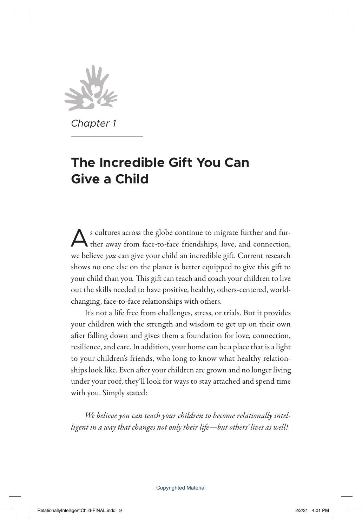

*Chapter 1*

# **The Incredible Gift You Can Give a Child**

As cultures across the globe continue to migrate further and fur-ther away from face-to-face friendships, love, and connection, we believe *you* can give your child an incredible gift. Current research shows no one else on the planet is better equipped to give this gift to your child than you. This gift can teach and coach your children to live out the skills needed to have positive, healthy, others-centered, worldchanging, face-to-face relationships with others.

It's not a life free from challenges, stress, or trials. But it provides your children with the strength and wisdom to get up on their own after falling down and gives them a foundation for love, connection, resilience, and care. In addition, your home can be a place that is a light to your children's friends, who long to know what healthy relationships look like. Even after your children are grown and no longer living under your roof, they'll look for ways to stay attached and spend time with you. Simply stated:

*We believe you can teach your children to become relationally intelligent in a way that changes not only their life—but others' lives as well!*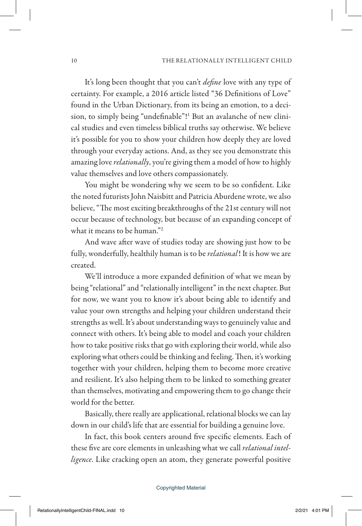It's long been thought that you can't *define* love with any type of certainty. For example, a 2016 article listed "36 Definitions of Love" found in the Urban Dictionary, from its being an emotion, to a decision, to simply being "undefinable"!1 But an avalanche of new clinical studies and even timeless biblical truths say otherwise. We believe it's possible for you to show your children how deeply they are loved through your everyday actions. And, as they see you demonstrate this amazing love *relationally*, you're giving them a model of how to highly value themselves and love others compassionately.

You might be wondering why we seem to be so confident. Like the noted futurists John Naisbitt and Patricia Aburdene wrote, we also believe, "The most exciting breakthroughs of the 21st century will not occur because of technology, but because of an expanding concept of what it means to be human."2

And wave after wave of studies today are showing just how to be fully, wonderfully, healthily human is to be *relational* ! It is how we are created.

We'll introduce a more expanded definition of what we mean by being "relational" and "relationally intelligent" in the next chapter. But for now, we want you to know it's about being able to identify and value your own strengths and helping your children understand their strengths as well. It's about understanding ways to genuinely value and connect with others. It's being able to model and coach your children how to take positive risks that go with exploring their world, while also exploring what others could be thinking and feeling. Then, it's working together with your children, helping them to become more creative and resilient. It's also helping them to be linked to something greater than themselves, motivating and empowering them to go change their world for the better.

Basically, there really are applicational, relational blocks we can lay down in our child's life that are essential for building a genuine love.

In fact, this book centers around five specific elements. Each of these five are core elements in unleashing what we call *relational intelligence*. Like cracking open an atom, they generate powerful positive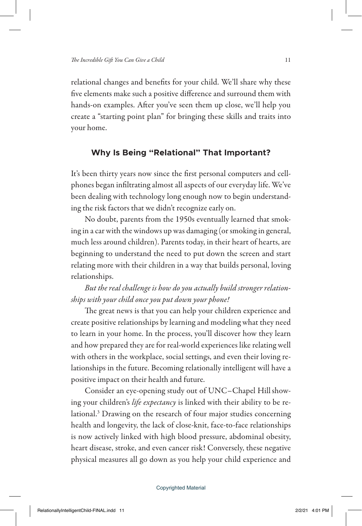relational changes and benefits for your child. We'll share why these five elements make such a positive difference and surround them with hands-on examples. After you've seen them up close, we'll help you create a "starting point plan" for bringing these skills and traits into your home.

### **Why Is Being "Relational" That Important?**

It's been thirty years now since the first personal computers and cellphones began infiltrating almost all aspects of our everyday life. We've been dealing with technology long enough now to begin understanding the risk factors that we didn't recognize early on.

No doubt, parents from the 1950s eventually learned that smoking in a car with the windows up was damaging (or smoking in general, much less around children). Parents today, in their heart of hearts, are beginning to understand the need to put down the screen and start relating more with their children in a way that builds personal, loving relationships.

# *But the real challenge is how do you actually build stronger relationships with your child once you put down your phone!*

The great news is that you can help your children experience and create positive relationships by learning and modeling what they need to learn in your home. In the process, you'll discover how they learn and how prepared they are for real-world experiences like relating well with others in the workplace, social settings, and even their loving relationships in the future. Becoming relationally intelligent will have a positive impact on their health and future.

Consider an eye-opening study out of UNC–Chapel Hillshowing your children's *life expectancy* is linked with their ability to be relational.3 Drawing on the research of four major studies concerning health and longevity, the lack of close-knit, face-to-face relationships is now actively linked with high blood pressure, abdominal obesity, heart disease, stroke, and even cancer risk! Conversely, these negative physical measures all go down as you help your child experience and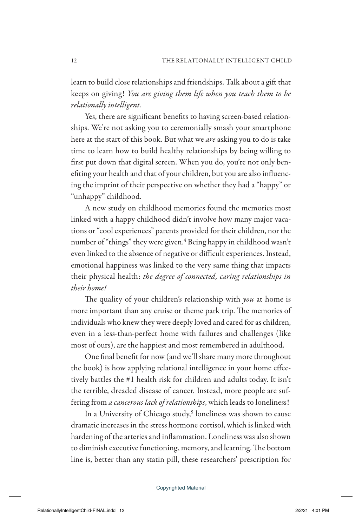learn to build close relationships and friendships. Talk about a gift that keeps on giving! *You are giving them life when you teach them to be relationally intelligent.*

Yes, there are significant benefits to having screen-based relationships. We're not asking you to ceremonially smash your smartphone here at the start of this book. But what we *are* asking you to do is take time to learn how to build healthy relationships by being willing to first put down that digital screen. When you do, you're not only benefiting your health and that of your children, but you are also influencing the imprint of their perspective on whether they had a "happy" or "unhappy" childhood.

A new study on childhood memories found the memories most linked with a happy childhood didn't involve how many major vacations or "cool experiences" parents provided for their children, nor the number of "things" they were given.<sup>4</sup> Being happy in childhood wasn't even linked to the absence of negative or difficult experiences. Instead, emotional happiness was linked to the very same thing that impacts their physical health: *the degree of connected, caring relationships in their home!*

The quality of your children's relationship with *you* at home is more important than any cruise or theme park trip. The memories of individuals who knew they were deeply loved and cared for as children, even in a less-than-perfect home with failures and challenges (like most of ours), are the happiest and most remembered in adulthood.

One final benefit for now (and we'll share many more throughout the book) is how applying relational intelligence in your home effectively battles the #1 health risk for children and adults today. It isn't the terrible, dreaded disease of cancer. Instead, more people are suffering from *a cancerous lack of relationships*, which leads to loneliness!

In a University of Chicago study,<sup>5</sup> loneliness was shown to cause dramatic increases in the stress hormone cortisol, which is linked with hardening of the arteries and inflammation. Loneliness was also shown to diminish executive functioning, memory, and learning. The bottom line is, better than any statin pill, these researchers' prescription for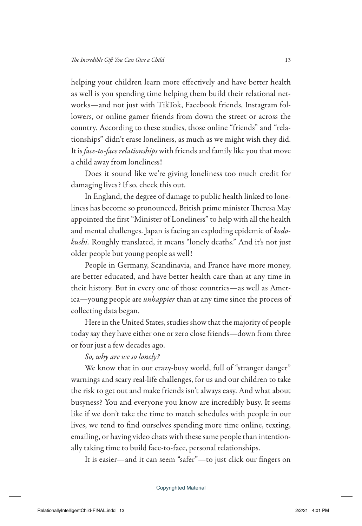helping your children learn more effectively and have better health as well is you spending time helping them build their relational networks—and not just with TikTok, Facebook friends, Instagram followers, or online gamer friends from down the street or across the country. According to these studies, those online "friends" and "relationships" didn't erase loneliness, as much as we might wish they did. It is *face-to-face relationships* with friends and family like you that move a child away from loneliness!

Does it sound like we're giving loneliness too much credit for damaging lives? If so, check this out.

In England, the degree of damage to public health linked to loneliness has become so pronounced, British prime minister Theresa May appointed the first "Minister of Loneliness" to help with all the health and mental challenges. Japan is facing an exploding epidemic of *kodokushi.* Roughly translated, it means "lonely deaths." And it's not just older people but young people as well!

People in Germany, Scandinavia, and France have more money, are better educated, and have better health care than at any time in their history. But in every one of those countries—as well as America—young people are *unhappier* than at any time since the process of collecting data began.

Here in the United States, studies show that the majority of people today say they have either one or zero close friends—down from three or four just a few decades ago.

*So, why are we so lonely?* 

We know that in our crazy-busy world, full of "stranger danger" warnings and scary real-life challenges, for us and our children to take the risk to get out and make friends isn't always easy. And what about busyness? You and everyone you know are incredibly busy. It seems like if we don't take the time to match schedules with people in our lives, we tend to find ourselves spending more time online, texting, emailing, or having video chats with these same people than intentionally taking time to build face-to-face, personal relationships.

It is easier—and it can seem "safer"—to just click our fingers on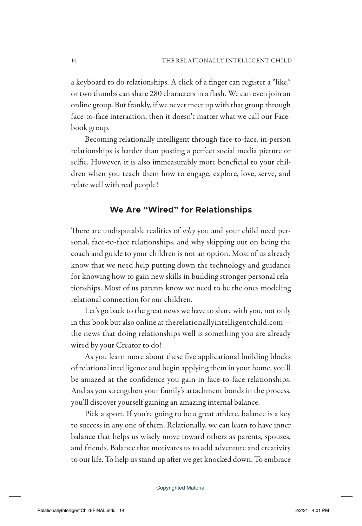a keyboard to do relationships. A click of a finger can register a "like," or two thumbs can share 280 characters in a flash. We can even join an online group. But frankly, if we never meet up with that group through face-to-face interaction, then it doesn't matter what we call our Facebook group.

Becoming relationally intelligent through face-to-face, in-person relationships is harder than posting a perfect social media picture or selfie. However, it is also immeasurably more beneficial to your children when you teach them how to engage, explore, love, serve, and relate well with real people!

### **We Are "Wired" for Relationships**

There are undisputable realities of *why* you and your child need personal, face-to-face relationships, and why skipping out on being the coach and guide to your children is not an option. Most of us already know that we need help putting down the technology and guidance for knowing how to gain new skills in building stronger personal relationships. Most of us parents know we need to be the ones modeling relational connection for our children.

Let's go back to the great news we have to share with you, not only in this book but also online at therelationallyintelligentchild.com the news that doing relationships well is something you are already wired by your Creator to do!

As you learn more about these five applicational building blocks of relational intelligence and begin applying them in your home, you'll be amazed at the confidence you gain in face-to-face relationships. And as you strengthen your family's attachment bonds in the process, you'll discover yourself gaining an amazing internal balance.

Pick a sport. If you're going to be a great athlete, balance is a key to success in any one of them. Relationally, we can learn to have inner balance that helps us wisely move toward others as parents, spouses, and friends. Balance that motivates us to add adventure and creativity to our life. To help us stand up after we get knocked down. To embrace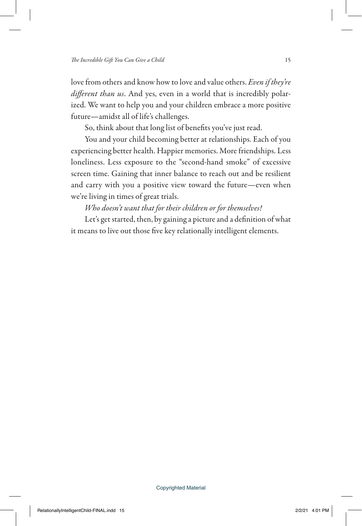love from others and know how to love and value others. *Even if they're different than us*. And yes, even in a world that is incredibly polarized. We want to help you and your children embrace a more positive future—amidst all of life's challenges.

So, think about that long list of benefits you've just read.

You and your child becoming better at relationships. Each of you experiencing better health. Happier memories. More friendships. Less loneliness. Less exposure to the "second-hand smoke" of excessive screen time. Gaining that inner balance to reach out and be resilient and carry with you a positive view toward the future—even when we're living in times of great trials.

*Who doesn't want that for their children or for themselves!*

Let's get started, then, by gaining a picture and a definition of what it means to live out those five key relationally intelligent elements.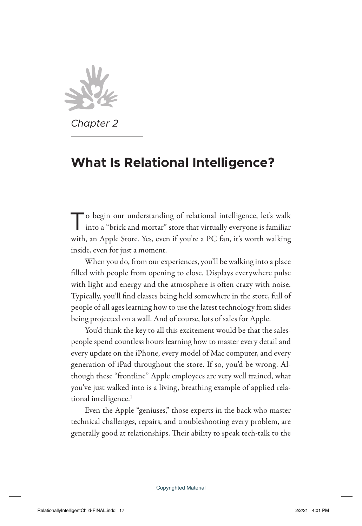

*Chapter 2*

# **What Is Relational Intelligence?**

To begin our understanding of relational intelligence, let's walk into a "brick and mortar" store that virtually everyone is familiar with, an Apple Store. Yes, even if you're a PC fan, it's worth walking inside, even for just a moment.

When you do, from our experiences, you'll be walking into a place filled with people from opening to close. Displays everywhere pulse with light and energy and the atmosphere is often crazy with noise. Typically, you'll find classes being held somewhere in the store, full of people of all ages learning how to use the latest technology from slides being projected on a wall. And of course, lots of sales for Apple.

You'd think the key to all this excitement would be that the salespeople spend countless hours learning how to master every detail and every update on the iPhone, every model of Mac computer, and every generation of iPad throughout the store. If so, you'd be wrong. Although these "frontline" Apple employees are very well trained, what you've just walked into is a living, breathing example of applied relational intelligence.<sup>1</sup>

Even the Apple "geniuses," those experts in the back who master technical challenges, repairs, and troubleshooting every problem, are generally good at relationships. Their ability to speak tech-talk to the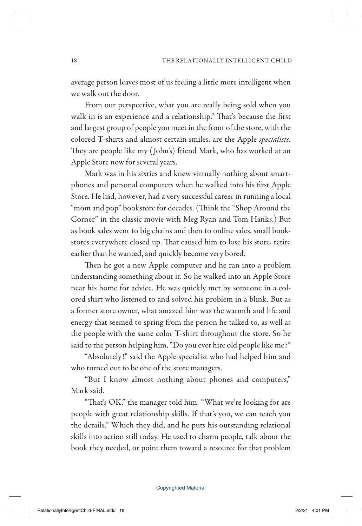average person leaves most of us feeling a little more intelligent when we walk out the door.

From our perspective, what you are really being sold when you walk in is an experience and a relationship.2 That's because the first and largest group of people you meet in the front of the store, with the colored T-shirts and almost certain smiles, are the Apple *specialists.* They are people like my ( John's) friend Mark, who has worked at an Apple Store now for several years.

Mark was in his sixties and knew virtually nothing about smartphones and personal computers when he walked into his first Apple Store. He had, however, had a very successful career in running a local "mom and pop" bookstore for decades. (Think the "Shop Around the Corner" in the classic movie with Meg Ryan and Tom Hanks.) But as book sales went to big chains and then to online sales, small bookstores everywhere closed up. That caused him to lose his store, retire earlier than he wanted, and quickly become very bored.

Then he got a new Apple computer and he ran into a problem understanding something about it. So he walked into an Apple Store near his home for advice. He was quickly met by someone in a colored shirt who listened to and solved his problem in a blink. But as a former store owner, what amazed him was the warmth and life and energy that seemed to spring from the person he talked to, as well as the people with the same color T-shirt throughout the store. So he said to the person helping him, "Do you ever hire old people like me?"

"Absolutely!" said the Apple specialist who had helped him and who turned out to be one of the store managers.

"But I know almost nothing about phones and computers," Mark said.

"That's OK," the manager told him. "What we're looking for are people with great relationship skills. If that's you, we can teach you the details." Which they did, and he puts his outstanding relational skills into action still today. He used to charm people, talk about the book they needed, or point them toward a resource for that problem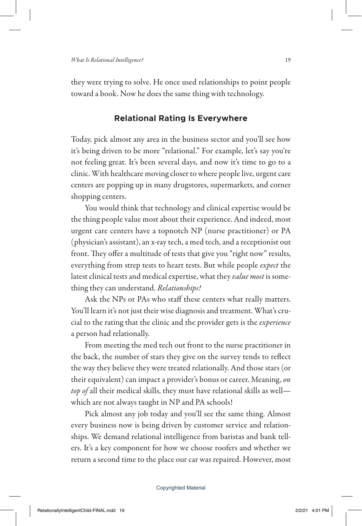they were trying to solve. He once used relationships to point people toward a book. Now he does the same thing with technology.

#### **Relational Rating Is Everywhere**

Today, pick almost any area in the business sector and you'll see how it's being driven to be more "relational." For example, let's say you're not feeling great. It's been several days, and now it's time to go to a clinic. With healthcare moving closer to where people live, urgent care centers are popping up in many drugstores, supermarkets, and corner shopping centers.

You would think that technology and clinical expertise would be the thing people value most about their experience. And indeed, most urgent care centers have a topnotch NP (nurse practitioner) or PA (physician's assistant), an x-ray tech, a med tech, and a receptionist out front. They offer a multitude of tests that give you "right now" results, everything from strep tests to heart tests. But while people *expect* the latest clinical tests and medical expertise, what they *value most* is something they can understand. *Relationships!*

Ask the NPs or PAs who staff these centers what really matters. You'll learn it's not just their wise diagnosis and treatment. What's crucial to the rating that the clinic and the provider gets is the *experience* a person had relationally.

From meeting the med tech out front to the nurse practitioner in the back, the number of stars they give on the survey tends to reflect the way they believe they were treated relationally. And those stars (or their equivalent) can impact a provider's bonus or career. Meaning, *on top of* all their medical skills, they must have relational skills as well which are not always taught in NP and PA schools!

Pick almost any job today and you'll see the same thing. Almost every business now is being driven by customer service and relationships. We demand relational intelligence from baristas and bank tellers. It's a key component for how we choose roofers and whether we return a second time to the place our car was repaired. However, most

#### Copyrighted Material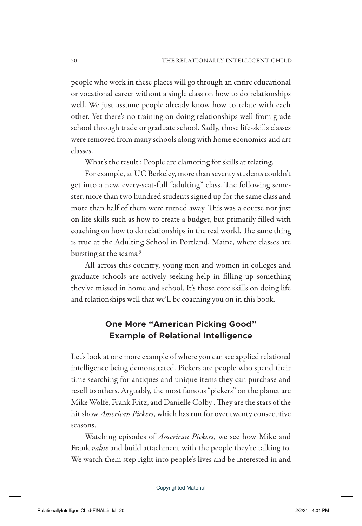people who work in these places will go through an entire educational or vocational career without a single class on how to do relationships well. We just assume people already know how to relate with each other. Yet there's no training on doing relationships well from grade school through trade or graduate school. Sadly, those life-skills classes were removed from many schools along with home economics and art classes.

What's the result? People are clamoring for skills at relating.

For example, at UC Berkeley, more than seventy students couldn't get into a new, every-seat-full "adulting" class. The following semester, more than two hundred students signed up for the same class and more than half of them were turned away. This was a course not just on life skills such as how to create a budget, but primarily filled with coaching on how to do relationships in the real world. The same thing is true at the Adulting School in Portland, Maine, where classes are bursting at the seams.<sup>3</sup>

All across this country, young men and women in colleges and graduate schools are actively seeking help in filling up something they've missed in home and school. It's those core skills on doing life and relationships well that we'll be coaching you on in this book.

## **One More "American Picking Good" Example of Relational Intelligence**

Let's look at one more example of where you can see applied relational intelligence being demonstrated. Pickers are people who spend their time searching for antiques and unique items they can purchase and resell to others. Arguably, the most famous "pickers" on the planet are Mike Wolfe, Frank Fritz, and Danielle Colby . They are the stars of the hit show *American Pickers*, which has run for over twenty consecutive seasons.

Watching episodes of *American Pickers*, we see how Mike and Frank *value* and build attachment with the people they're talking to. We watch them step right into people's lives and be interested in and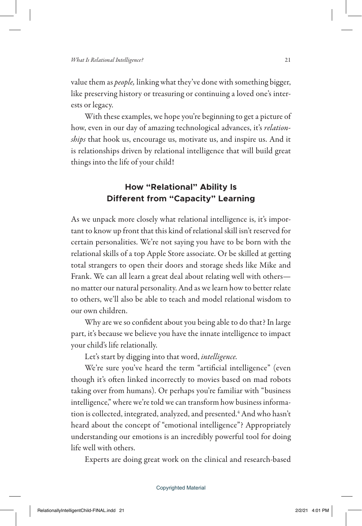value them as *people,* linking what they've done with something bigger, like preserving history or treasuring or continuing a loved one's interests or legacy.

With these examples, we hope you're beginning to get a picture of how, even in our day of amazing technological advances, it's *relationships* that hook us, encourage us, motivate us, and inspire us. And it is relationships driven by relational intelligence that will build great things into the life of your child!

# **How "Relational" Ability Is Different from "Capacity" Learning**

As we unpack more closely what relational intelligence is, it's important to know up front that this kind of relational skill isn't reserved for certain personalities. We're not saying you have to be born with the relational skills of a top Apple Store associate. Or be skilled at getting total strangers to open their doors and storage sheds like Mike and Frank. We can all learn a great deal about relating well with others no matter our natural personality. And as we learn how to better relate to others, we'll also be able to teach and model relational wisdom to our own children.

Why are we so confident about you being able to do that? In large part, it's because we believe you have the innate intelligence to impact your child's life relationally.

Let's start by digging into that word, *intelligence.*

We're sure you've heard the term "artificial intelligence" (even though it's often linked incorrectly to movies based on mad robots taking over from humans). Or perhaps you're familiar with "business intelligence," where we're told we can transform how business information is collected, integrated, analyzed, and presented.<sup>4</sup> And who hasn't heard about the concept of "emotional intelligence"? Appropriately understanding our emotions is an incredibly powerful tool for doing life well with others.

Experts are doing great work on the clinical and research-based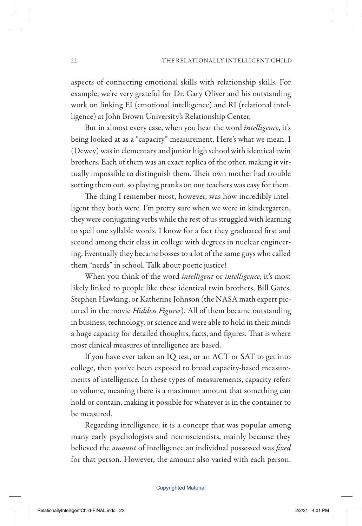aspects of connecting emotional skills with relationship skills. For example, we're very grateful for Dr. Gary Oliver and his outstanding work on linking EI (emotional intelligence) and RI (relational intelligence) at John Brown University's Relationship Center.

But in almost every case, when you hear the word *intelligence*, it's being looked at as a "capacity" measurement. Here's what we mean. I (Dewey) was in elementary and junior high school with identical twin brothers. Each of them was an exact replica of the other, making it virtually impossible to distinguish them. Their own mother had trouble sorting them out, so playing pranks on our teachers was easy for them.

The thing I remember most, however, was how incredibly intelligent they both were. I'm pretty sure when we were in kindergarten, they were conjugating verbs while the rest of us struggled with learning to spell one syllable words. I know for a fact they graduated first and second among their class in college with degrees in nuclear engineering. Eventually they became bosses to a lot of the same guys who called them "nerds" in school. Talk about poetic justice!

When you think of the word *intelligent* or *intelligence*, it's most likely linked to people like these identical twin brothers, Bill Gates, Stephen Hawking, or Katherine Johnson (the NASA math expert pictured in the movie *Hidden Figures*). All of them became outstanding in business, technology, or science and were able to hold in their minds a huge capacity for detailed thoughts, facts, and figures. That is where most clinical measures of intelligence are based.

If you have ever taken an IQ test, or an ACT or SAT to get into college, then you've been exposed to broad capacity-based measurements of intelligence. In these types of measurements, capacity refers to volume, meaning there is a maximum amount that something can hold or contain, making it possible for whatever is in the container to be measured.

Regarding intelligence, it is a concept that was popular among many early psychologists and neuroscientists, mainly because they believed the *amount* of intelligence an individual possessed was *fixed* for that person. However, the amount also varied with each person.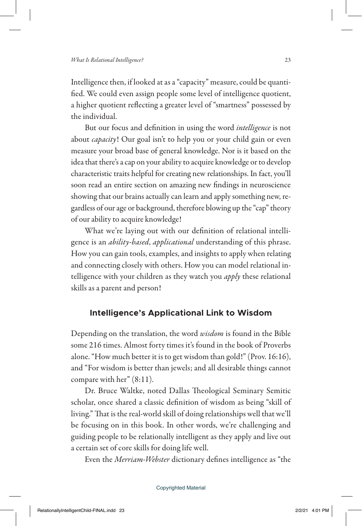Intelligence then, if looked at as a "capacity" measure, could be quantified. We could even assign people some level of intelligence quotient, a higher quotient reflecting a greater level of "smartness" possessed by the individual.

But our focus and definition in using the word *intelligence* is not about *capacity*! Our goal isn't to help you or your child gain or even measure your broad base of general knowledge. Nor is it based on the idea that there's a cap on your ability to acquire knowledge or to develop characteristic traits helpful for creating new relationships. In fact, you'll soon read an entire section on amazing new findings in neuroscience showing that our brains actually can learn and apply something new, regardless of our age or background, therefore blowing up the "cap" theory of our ability to acquire knowledge!

What we're laying out with our definition of relational intelligence is an *ability-based*, *applicational* understanding of this phrase. How you can gain tools, examples, and insights to apply when relating and connecting closely with others. How you can model relational intelligence with your children as they watch you *apply* these relational skills as a parent and person!

### **Intelligence's Applicational Link to Wisdom**

Depending on the translation, the word *wisdom* is found in the Bible some 216 times. Almost forty times it's found in the book of Proverbs alone. "How much better it is to get wisdom than gold!" (Prov. 16:16), and "For wisdom is better than jewels; and all desirable things cannot compare with her" (8:11).

Dr. Bruce Waltke, noted Dallas Theological Seminary Semitic scholar, once shared a classic definition of wisdom as being "skill of living." That is the real-world skill of doing relationships well that we'll be focusing on in this book. In other words, we're challenging and guiding people to be relationally intelligent as they apply and live out a certain set of core skills for doing life well.

Even the *Merriam-Webster* dictionary defines intelligence as "the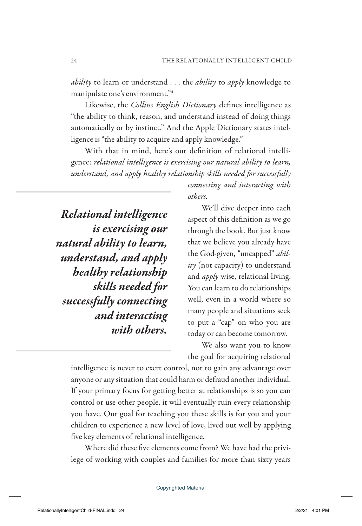*ability* to learn or understand . . . the *ability* to *apply* knowledge to manipulate one's environment."4

Likewise, the *Collins English Dictionary* defines intelligence as "the ability to think, reason, and understand instead of doing things automatically or by instinct." And the Apple Dictionary states intelligence is "the ability to acquire and apply knowledge."

With that in mind, here's our definition of relational intelligence: *relational intelligence is exercising our natural ability to learn, understand, and apply healthy relationship skills needed for successfully* 

> *connecting and interacting with others.*

*Relational intelligence is exercising our natural ability to learn, understand, and apply healthy relationship skills needed for successfully connecting and interacting with others.*

We'll dive deeper into each aspect of this definition as we go through the book. But just know that we believe you already have the God-given, "uncapped" *ability* (not capacity) to understand and *apply* wise, relational living. You can learn to do relationships well, even in a world where so many people and situations seek to put a "cap" on who you are today or can become tomorrow.

We also want you to know the goal for acquiring relational

intelligence is never to exert control, nor to gain any advantage over anyone or any situation that could harm or defraud another individual. If your primary focus for getting better at relationships is so you can control or use other people, it will eventually ruin every relationship you have. Our goal for teaching you these skills is for you and your children to experience a new level of love, lived out well by applying five key elements of relational intelligence.

Where did these five elements come from? We have had the privilege of working with couples and families for more than sixty years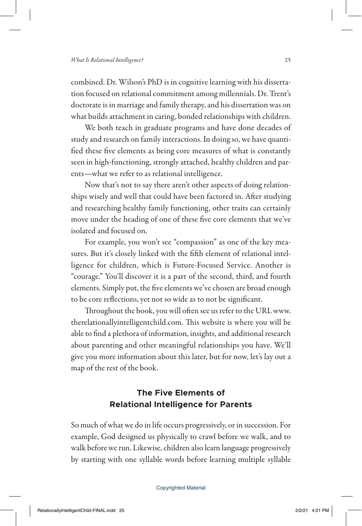combined. Dr. Wilson's PhD is in cognitive learning with his dissertation focused on relational commitment among millennials. Dr. Trent's doctorate is in marriage and family therapy, and his dissertation was on what builds attachment in caring, bonded relationships with children.

We both teach in graduate programs and have done decades of study and research on family interactions. In doing so, we have quantified these five elements as being core measures of what is constantly seen in high-functioning, strongly attached, healthy children and parents—what we refer to as relational intelligence.

Now that's not to say there aren't other aspects of doing relationships wisely and well that could have been factored in. After studying and researching healthy family functioning, other traits can certainly move under the heading of one of these five core elements that we've isolated and focused on.

For example, you won't see "compassion" as one of the key measures. But it's closely linked with the fifth element of relational intelligence for children, which is Future-Focused Service. Another is "courage." You'll discover it is a part of the second, third, and fourth elements. Simply put, the five elements we've chosen are broad enough to be core reflections, yet not so wide as to not be significant.

Throughout the book, you will often see us refer to the URL www. therelationallyintelligentchild.com. This website is where you will be able to find a plethora of information, insights, and additional research about parenting and other meaningful relationships you have. We'll give you more information about this later, but for now, let's lay out a map of the rest of the book.

# **The Five Elements of Relational Intelligence for Parents**

So much of what we do in life occurs progressively, or in succession. For example, God designed us physically to crawl before we walk, and to walk before we run. Likewise, children also learn language progressively by starting with one syllable words before learning multiple syllable

#### Copyrighted Material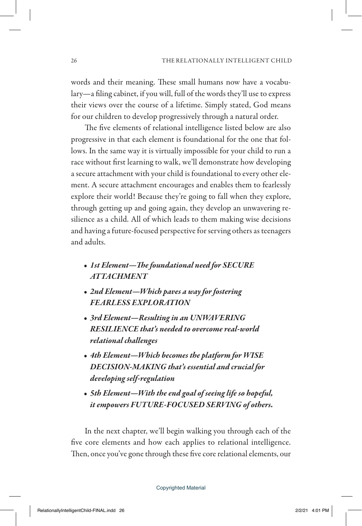words and their meaning. These small humans now have a vocabulary—a filing cabinet, if you will, full of the words they'll use to express their views over the course of a lifetime. Simply stated, God means for our children to develop progressively through a natural order.

The five elements of relational intelligence listed below are also progressive in that each element is foundational for the one that follows. In the same way it is virtually impossible for your child to run a race without first learning to walk, we'll demonstrate how developing a secure attachment with your child is foundational to every other element. A secure attachment encourages and enables them to fearlessly explore their world! Because they're going to fall when they explore, through getting up and going again, they develop an unwavering resilience as a child. All of which leads to them making wise decisions and having a future-focused perspective for serving others as teenagers and adults.

- *• 1st Element—The foundational need for SECURE ATTACHMENT*
- *• 2nd Element—Which paves a way for fostering FEARLESS EXPLORATION*
- *• 3rd Element—Resulting in an UNWAVERING RESILIENCE that's needed to overcome real-world relational challenges*
- *• 4th Element—Which becomes the platform for WISE DECISION-MAKING that's essential and crucial for developing self-regulation*
- *• 5th Element—With the end goal of seeing life so hopeful, it empowers FUTURE-FOCUSED SERVING of others.*

In the next chapter, we'll begin walking you through each of the five core elements and how each applies to relational intelligence. Then, once you've gone through these five core relational elements, our